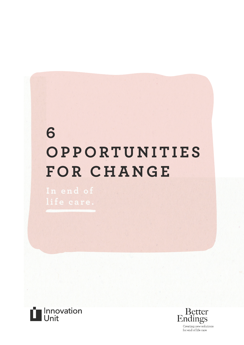# 6 OPPORTUNITIES FOR CHANGE



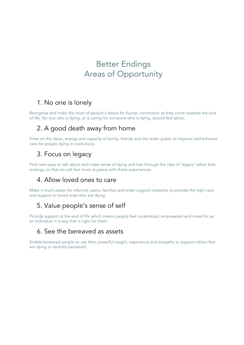# Better Endings Areas of Opportunity

# 1. No one is lonely

Recognise and make the most of people's desire for human connection as they come towards the end of life. No one who is dying, or is caring for someone who is dying, should feel alone.

# 2. A good death away from home

Draw on the ideas, energy and capacity of family, friends and the wider public to improve and enhance care for people dying in institutions.

## 3. Focus on legacy

Find new ways to talk about and make sense of dying and loss through the idea of 'legacy' rather than endings, so that we call feel more at peace with these experiences.

### 4. Allow loved ones to care

Make it much easier for informal carers, families and wider support networks to provide the right care and support to loved ones who are dying.

### 5. Value people's sense of self

Provide support at the end of life which means people feel understood, empowered and cared for as an individual in a way that is right for them.

### 6. See the bereaved as assets

Enable bereaved people to use their powerful insight, experience and empathy to support others that are dying or recently bereaved.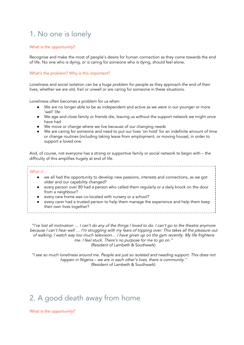# 1. No one is lonely

#### What is the opportunity?

Recognise and make the most of people's desire for human connection as they come towards the end of life. No one who is dying, or is caring for someone who is dying, should feel alone.

#### What's the problem? Why is this important?

Loneliness and social isolation can be a huge problem for people as they approach the end of their lives, whether we are old, frail or unwell or are caring for someone in these situations.

Loneliness often becomes a problem for us when:

- We are no longer able to be as independent and active as we were in our younger or more 'well' life
- We age and close family or friends die, leaving us without the support network we might once have had
- We move or change where we live because of our changing needs
- We are caring for someone and need to put our lives 'on hold' for an indefinite amount of time or change routines (including taking leave from employment, or moving house), in order to support a loved one.

And, of course, not everyone has a strong or supportive family or social network to begin with – the difficulty of this amplifies hugely at end of life.

#### What if...

● we all had the opportunity to develop new passions, interests and connections, as we got older and our capability changed?

- every person over 80 had a person who called them regularly or a daily knock on the door from a neighbour?
- every care home was co-located with nursery or a school?
- every carer had a trusted person to help them manage the experience and help them keep their own lives together?

"I've lost all motivation … I can't do any of the things I loved to do. I can't go to the theatre anymore because I can't hear well … I'm struggling with my fears of tripping over. This takes all the pleasure out of walking. I watch way too much television… I have given up on the gym recently. My life frightens me. I feel stuck. There's no purpose for me to go on." (Resident of Lambeth & Southwark)

"I see so much loneliness around me. People are just so isolated and needing support. This does not happen in Nigeria – we are in each other's lives, there is community." (Resident of Lambeth & Southwark)

# 2. A good death away from home

What is the opportunity?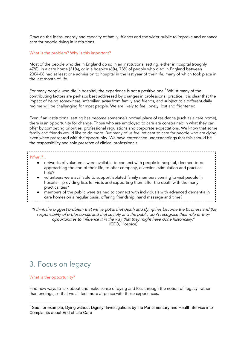Draw on the ideas, energy and capacity of family, friends and the wider public to improve and enhance care for people dying in institutions.

#### What is the problem? Why is this important?

Most of the people who die in England do so in an institutional setting, either in hospital (roughly 47%), in a care home (21%), or in a hospice (6%). 78% of people who died in England between 2004-08 had at least one admission to hospital in the last year of their life, many of which took place in the last month of life.

For many people who die in hospital, the experience is not a positive one.<sup>1</sup> Whilst many of the contributing factors are perhaps best addressed by changes in professional practice, it is clear that the impact of being somewhere unfamiliar, away from family and friends, and subject to a different daily regime will be challenging for most people. We are likely to feel lonely, lost and frightened.

Even if an institutional setting has become someone's normal place of residence (such as a care home), there is an opportunity for change. Those who are employed to care are constrained in what they can offer by competing priorities, professional regulations and corporate expectations. We know that some family and friends would like to do more. But many of us feel reticent to care for people who are dying, even when presented with the opportunity. We have entrenched understandings that this should be the responsibility and sole preserve of clinical professionals.

#### What if...

- networks of volunteers were available to connect with people in hospital, deemed to be approaching the end of their life, to offer company, diversion, stimulation and practical help?
- volunteers were available to support isolated family members coming to visit people in hospital - providing lists for visits and supporting them after the death with the many practicalities?
- members of the public were trained to connect with individuals with advanced dementia in care homes on a regular basis, offering friendship, hand massage and time?
- 

 "I think the biggest problem that we've got is that death and dying has become the business and the responsibility of professionals and that society and the public don't recognise their role or their opportunities to influence it in the way that they might have done historically." (CEO, Hospice)

# 3. Focus on legacy

#### What is the opportunity?

Find new ways to talk about and make sense of dying and loss through the notion of 'legacy' rather than endings, so that we all feel more at peace with these experiences.

<sup>1</sup> See, for example, Dying without Dignity: Investigations by the Parliamentary and Health Service into Complaints about End of Life Care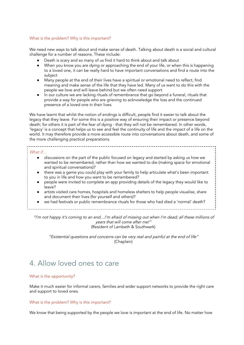#### What is the problem? Why is this important?

We need new ways to talk about and make sense of death. Talking about death is a social and cultural challenge for a number of reasons. These include:

- Death is scary and so many of us find it hard to think about and talk about
- When you know you are dying or approaching the end of your life, or when this is happening to a loved one, it can be really hard to have important conversations and find a route into the subject
- Many people at the end of their lives have a spiritual or emotional need to reflect, find meaning and make sense of the life that they have led. Many of us want to do this with the people we love and will leave behind but we often need support
- In our culture we are lacking rituals of remembrance that go beyond a funeral, rituals that provide a way for people who are grieving to acknowledge the loss and the continued presence of a loved one in their lives.

We have learnt that whilst the notion of endings is difficult, people find it easier to talk about the legacy that they leave. For some this is a positive way of ensuring their impact or presence beyond death; for others it is part of the fear of dying - that they will not be remembered. In other words, 'legacy' is a concept that helps us to see and feel the continuity of life and the impact of a life on the world. It may therefore provide a more accessible route into conversations about death, and some of the more challenging practical preparations.

#### What if…

- discussions on the part of the public focused on legacy and started by asking us how we wanted to be remembered, rather than how we wanted to die (making space for emotional and spiritual conversations)?
- there was a game you could play with your family to help articulate what's been important to you in life and how you want to be remembered?
- people were invited to complete an app providing details of the legacy they would like to leave?
- artists visited care homes, hospitals and homeless shelters to help people visualise, share and document their lives (for yourself and others)?
- we had festivals or public remembrance rituals for those who had died a 'normal' death?
	-

"I'm not happy it's coming to an end…I'm afraid of missing out when I'm dead; all these millions of years that will come after me!" (Resident of Lambeth & Southwark)

"Existential questions and concerns can be very real and painful at the end of life" (Chaplain)

# 4. Allow loved ones to care

#### What is the opportunity?

Make it much easier for informal carers, families and wider support networks to provide the right care and support to loved ones.

#### What is the problem? Why is this important?

We know that being supported by the people we love is important at the end of life. No matter how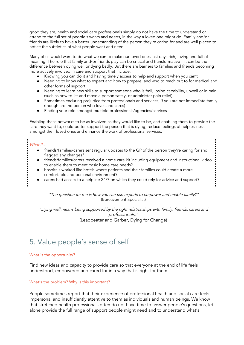good they are, health and social care professionals simply do not have the time to understand or attend to the full set of people's wants and needs, in the way a loved one might do. Family and/or friends are likely to have a better understanding of the person they're caring for and are well placed to notice the subtleties of what people want and need.

Many of us would want to do what we can to make our loved ones last days rich, loving and full of meaning. The role that family and/or friends play can be critical and transformative – it can be the difference between dying well or dying badly. But there are barriers to families and friends becoming more actively involved in care and support that include:

- Knowing you can do it and having timely access to help and support when you can't
- Needing to know what to expect and how to prepare, and who to reach out to for medical and other forms of support
- Needing to learn new skills to support someone who is frail, losing capability, unwell or in pain (such as how to lift and move a person safely, or administer pain relief)
- Sometimes enduring prejudice from professionals and services, if you are not immediate family (though are the person who loves and cares)
- Finding your role amongst multiple professionals/agencies/services

Enabling these networks to be as involved as they would like to be, and enabling them to provide the care they want to, could better support the person that is dying, reduce feelings of helplessness amongst their loved ones and enhance the work of professional services.

#### What if…

- friends/families/carers sent regular updates to the GP of the person they're caring for and flagged any changes?
- friends/families/carers received a home care kit including equipment and instructional video to enable them to meet basic home care needs?
- hospitals worked like hotels where patients and their families could create a more comfortable and personal environment?
- carers had access to a helpline 24/7 on which they could rely for advice and support?

"The question for me is how you can use experts to empower and enable family?" (Bereavement Specialist)

"Dying well means being supported by the right relationships with family, friends, carers and professionals." (Leadbeater and Garber, Dying for Change)

# 5. Value people's sense of self

#### What is the opportunity?

Find new ideas and capacity to provide care so that everyone at the end of life feels understood, empowered and cared for in a way that is right for them.

#### What's the problem? Why is this important?

People sometimes report that their experience of professional health and social care feels impersonal and insufficiently attentive to them as individuals and human beings. We know that stretched health professionals often do not have time to answer people's questions, let alone provide the full range of support people might need and to understand what's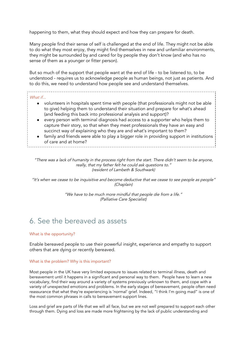happening to them, what they should expect and how they can prepare for death.

Many people find their sense of self is challenged at the end of life. They might not be able to do what they most enjoy, they might find themselves in new and unfamiliar environments, they might be surrounded by and cared for by people they don't know (and who has no sense of them as a younger or fitter person).

But so much of the support that people want at the end of life - to be listened to, to be understood - requires us to acknowledge people as human beings, not just as patients. And to do this, we need to understand how people see and understand themselves.

#### What if...

- volunteers in hospitals spent time with people (that professionals might not be able to give) helping them to understand their situation and prepare for what's ahead (and feeding this back into professional analysis and support)?
- every person with terminal diagnosis had access to a supporter who helps them to capture their story, so that when they meet professionals they have an easy and succinct way of explaining who they are and what's important to them?
- family and friends were able to play a bigger role in providing support in institutions of care and at home?

"There was a lack of humanity in the process right from the start. There didn't seem to be anyone, really, that my father felt he could ask questions to." (resident of Lambeth & Southwark)

"It's when we cease to be inquisitive and become deductive that we cease to see people as people" (Chaplain)

> "We have to be much more mindful that people die from a life." (Palliative Care Specialist)

# 6. See the bereaved as assets

#### What is the opportunity?

Enable bereaved people to use their powerful insight, experience and empathy to support others that are dying or recently bereaved.

#### What is the problem? Why is this important?

Most people in the UK have very limited exposure to issues related to terminal illness, death and bereavement until it happens in a significant and personal way to them. People have to learn a new vocabulary, find their way around a variety of systems previously unknown to them, and cope with a variety of unexpected emotions and problems. In the early stages of bereavement, people often need reassurance that what they're experiencing is 'normal' grief. Indeed, "I think I'm going mad" is one of the most common phrases in calls to bereavement support lines.

Loss and grief are parts of life that we will all face, but we are not well prepared to support each other through them. Dying and loss are made more frightening by the lack of public understanding and